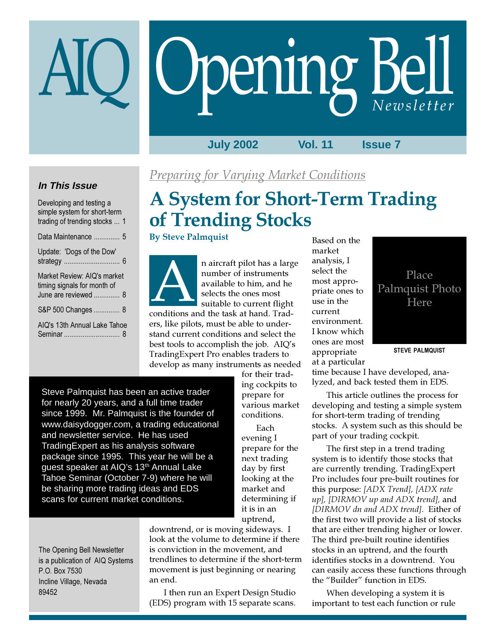# Opening Bell

**July 2002 Vol. 11 Issue 7**

#### **In This Issue**

| Developing and testing a<br>simple system for short-term<br>trading of trending stocks  1 |
|-------------------------------------------------------------------------------------------|
| Data Maintenance  5                                                                       |
| Update: 'Dogs of the Dow'                                                                 |
| Market Review: AIQ's market<br>timing signals for month of<br>June are reviewed  8        |
| S&P 500 Changes  8                                                                        |
| AIQ's 13th Annual Lake Tahoe                                                              |

## Preparing for Varying Market Conditions

## A System for Short-Term Trading of Trending Stocks

#### By Steve Palmquist



n aircraft pilot has a large number of instruments available to him, and he selects the ones most suitable to current flight n aircraft pilot has a large number of instruments available to him, and he selects the ones most suitable to current flight conditions and the task at hand. Trad-

ers, like pilots, must be able to understand current conditions and select the best tools to accomplish the job. AIQ's TradingExpert Pro enables traders to develop as many instruments as needed

> for their trading cockpits to prepare for various market conditions.

Each evening I prepare for the next trading day by first looking at the market and determining if it is in an uptrend,

Steve Palmquist has been an active trader for nearly 20 years, and a full time trader since 1999. Mr. Palmquist is the founder of www.daisydogger.com, a trading educational and newsletter service. He has used TradingExpert as his analysis software package since 1995. This year he will be a guest speaker at AIQ's 13<sup>th</sup> Annual Lake Tahoe Seminar (October 7-9) where he will be sharing more trading ideas and EDS scans for current market conditions.

The Opening Bell Newsletter is a publication of AIQ Systems P.O. Box 7530 Incline Village, Nevada 89452

downtrend, or is moving sideways. I look at the volume to determine if there is conviction in the movement, and trendlines to determine if the short-term movement is just beginning or nearing an end.

I then run an Expert Design Studio (EDS) program with 15 separate scans. Based on the market analysis, I select the most appropriate ones to use in the current environment. I know which ones are most appropriate at a particular

Place Palmquist Photo Here

STEVE PALMQUIST

time because I have developed, analyzed, and back tested them in EDS.

This article outlines the process for developing and testing a simple system for short-term trading of trending stocks. A system such as this should be part of your trading cockpit.

The first step in a trend trading system is to identify those stocks that are currently trending. TradingExpert Pro includes four pre-built routines for this purpose: [ADX Trend], [ADX rate up], [DIRMOV up and ADX trend], and [DIRMOV dn and ADX trend]. Either of the first two will provide a list of stocks that are either trending higher or lower. The third pre-built routine identifies stocks in an uptrend, and the fourth identifies stocks in a downtrend. You can easily access these functions through the "Builder" function in EDS.

When developing a system it is important to test each function or rule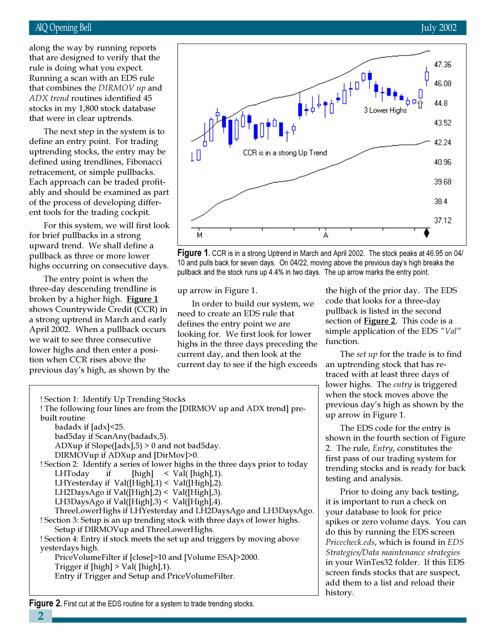#### AIQ Opening Bell July 2002

Running a scan with an EDS rule along the way by running reports that are designed to verify that the rule is doing what you expect. that combines the DIRMOV up and ADX trend routines identified 45 stocks in my 1,800 stock database that were in clear uptrends.

The next step in the system is to define an entry point. For trading uptrending stocks, the entry may be defined using trendlines, Fibonacci retracement, or simple pullbacks. Each approach can be traded profitably and should be examined as part of the process of developing different tools for the trading cockpit.

For this system, we will first look for brief pullbacks in a strong upward trend. We shall define a pullback as three or more lower highs occurring on consecutive days.

The entry point is when the three-day descending trendline is broken by a higher high. Figure 1 shows Countrywide Credit (CCR) in a strong uptrend in March and early April 2002. When a pullback occurs we wait to see three consecutive lower highs and then enter a position when CCR rises above the previous day's high, as shown by the

! Section 1: Identify Up Trending Stocks





up arrow in Figure 1.

In order to build our system, we need to create an EDS rule that defines the entry point we are looking for. We first look for lower highs in the three days preceding the current day, and then look at the current day to see if the high exceeds the high of the prior day. The EDS code that looks for a three-day pullback is listed in the second section of **Figure 2**. This code is a simple application of the EDS "Val" function.

The *set up* for the trade is to find an uptrending stock that has retraced with at least three days of lower highs. The *entry* is triggered when the stock moves above the previous day's high as shown by the up arrow in Figure 1.

The EDS code for the entry is shown in the fourth section of Figure 2. The rule, Entry, constitutes the first pass of our trading system for trending stocks and is ready for back testing and analysis.

Prior to doing any back testing, it is important to run a check on your database to look for price spikes or zero volume days. You can do this by running the EDS screen Pricecheck.eds, which is found in EDS Strategies/Data maintenance strategies in your WinTes32 folder. If this EDS screen finds stocks that are suspect, add them to a list and reload their history.

! The following four lines are from the [DIRMOV up and ADX trend] prebuilt routine badadx if [adx]<25. bad5day if ScanAny(badadx,5). ADXup if  $Slope([adx], 5) > 0$  and not bad5day. DIRMOVup if ADXup and [DirMov]>0. ! Section 2: Identify a series of lower highs in the three days prior to today LHToday if  $[high] < Val([high],1)$ . LHYesterday if Val([High],1) < Val([High],2). LH2DaysAgo if Val([High],2) < Val([High],3). LH3DaysAgo if Val([High],3) < Val([High],4). ThreeLowerHighs if LHYesterday and LH2DaysAgo and LH3DaysAgo. ! Section 3: Setup is an up trending stock with three days of lower highs. Setup if DIRMOVup and ThreeLowerHighs. ! Section 4: Entry if stock meets the set up and triggers by moving above yesterdays high. PriceVolumeFilter if [close]>10 and [Volume ESA]>2000. Trigger if [high] > Val( [high],1).

Entry if Trigger and Setup and PriceVolumeFilter.

**Figure 2.** First cut at the EDS routine for a system to trade trending stocks.

2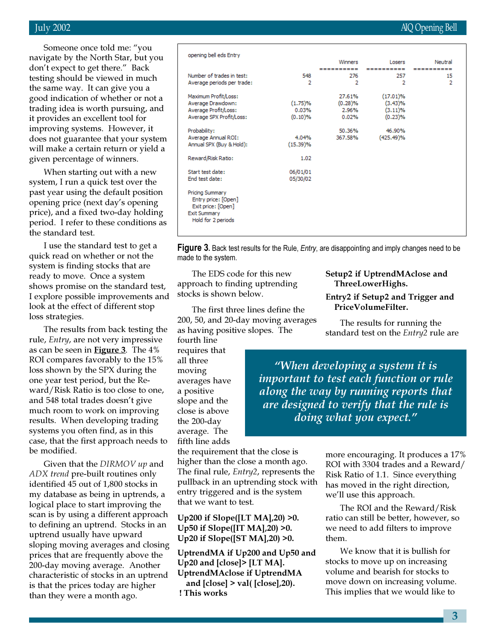Someone once told me: "you navigate by the North Star, but you don't expect to get there." Back testing should be viewed in much the same way. It can give you a good indication of whether or not a trading idea is worth pursuing, and it provides an excellent tool for improving systems. However, it does not guarantee that your system will make a certain return or yield a given percentage of winners.

When starting out with a new system, I run a quick test over the past year using the default position opening price (next day's opening price), and a fixed two-day holding period. I refer to these conditions as the standard test.

I use the standard test to get a quick read on whether or not the system is finding stocks that are ready to move. Once a system shows promise on the standard test, I explore possible improvements and look at the effect of different stop loss strategies.

The results from back testing the rule, Entry, are not very impressive as can be seen in **Figure 3**. The  $4\%$ ROI compares favorably to the 15% loss shown by the SPX during the one year test period, but the Reward/Risk Ratio is too close to one, and 548 total trades doesn't give much room to work on improving results. When developing trading systems you often find, as in this case, that the first approach needs to be modified.

Given that the DIRMOV up and ADX trend pre-built routines only identified 45 out of 1,800 stocks in my database as being in uptrends, a logical place to start improving the scan is by using a different approach to defining an uptrend. Stocks in an uptrend usually have upward sloping moving averages and closing prices that are frequently above the 200-day moving average. Another characteristic of stocks in an uptrend is that the prices today are higher than they were a month ago.

| opening bell eds Entry                                                                                           |          |            |            |            |
|------------------------------------------------------------------------------------------------------------------|----------|------------|------------|------------|
|                                                                                                                  |          | Winners    | Losers     | Neutral    |
| Number of trades in test:                                                                                        |          | ---------- | ========== | ---------- |
|                                                                                                                  | 548<br>2 | 276<br>2   | 257<br>2   | 15<br>2    |
| Average periods per trade:                                                                                       |          |            |            |            |
| Maximum Profit/Loss:                                                                                             |          | 27.61%     | (17.01)%   |            |
| Average Drawdown:                                                                                                | (1.75)%  | (0.28)%    | (3.43)%    |            |
| Average Profit/Loss:                                                                                             | 0.03%    | 2.96%      | (3.11)%    |            |
| Average SPX Profit/Loss:                                                                                         | (0.10)%  | 0.02%      | (0.23)%    |            |
|                                                                                                                  |          |            |            |            |
| Probability:                                                                                                     |          | 50.36%     | 46.90%     |            |
| Average Annual ROI:                                                                                              | 4.04%    | 367.58%    | (425.49)%  |            |
| Annual SPX (Buy & Hold):                                                                                         | (15.39)% |            |            |            |
|                                                                                                                  |          |            |            |            |
| Reward/Risk Ratio:                                                                                               | 1.02     |            |            |            |
|                                                                                                                  |          |            |            |            |
| Start test date:                                                                                                 | 06/01/01 |            |            |            |
| End test date:                                                                                                   | 05/30/02 |            |            |            |
|                                                                                                                  |          |            |            |            |
| <b>Pricing Summary</b><br>Entry price: [Open]<br>Exit price: [Open]<br><b>Exit Summary</b><br>Hold for 2 periods |          |            |            |            |
|                                                                                                                  |          |            |            |            |

**Figure 3.** Back test results for the Rule, *Entry*, are disappointing and imply changes need to be made to the system.

The EDS code for this new approach to finding uptrending stocks is shown below.

The first three lines define the 200, 50, and 20-day moving averages as having positive slopes. The

fourth line requires that all three moving averages have a positive slope and the close is above the 200-day average. The fifth line adds

the requirement that the close is higher than the close a month ago. The final rule, Entry2, represents the pullback in an uptrending stock with entry triggered and is the system that we want to test.

Up200 if Slope([LT MA],20) >0. Up50 if Slope([IT MA],20) >0. Up20 if Slope([ST MA],20) >0.

UptrendMA if Up200 and Up50 and Up20 and [close]> [LT MA]. UptrendMAclose if UptrendMA and [close] > val( [close],20). ! This works

Setup2 if UptrendMAclose and ThreeLowerHighs.

#### Entry2 if Setup2 and Trigger and PriceVolumeFilter.

The results for running the standard test on the *Entry*2 rule are

"When developing a system it is important to test each function or rule along the way by running reports that are designed to verify that the rule is doing what you expect."

> more encouraging. It produces a 17% ROI with 3304 trades and a Reward/ Risk Ratio of 1.1. Since everything has moved in the right direction, we'll use this approach.

The ROI and the Reward/Risk ratio can still be better, however, so we need to add filters to improve them.

We know that it is bullish for stocks to move up on increasing volume and bearish for stocks to move down on increasing volume. This implies that we would like to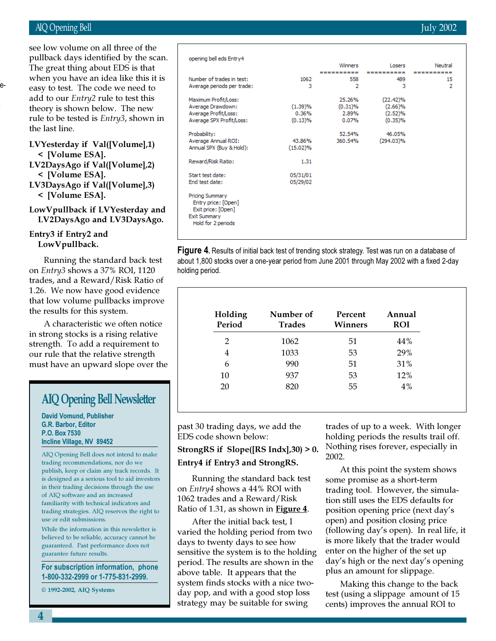#### AIQ Opening Bell July 2002

e-

.

when you have an idea like this it is see low volume on all three of the pullback days identified by the scan. The great thing about EDS is that easy to t add to o theory is rule to b the last 1

#### **LVYeste**  $\leq$  [Vc LV2DaysAgo if Val([Volume],2)

< [Volume ESA]. LV3DaysAgo if Val([Volume],3)

LowVpullback if LVYesterday and

#### Entry3 if Entry2 and LowVpullback.

Running the standard back test on Entry3 shows a 37% ROI, 1120 trades, and a Reward/Risk Ratio of 1.26. We now have good evidence that low volume pullbacks improve the results for this system.

A characteristic we often notice in strong stocks is a rising relative strength. To add a requirement to our rule that the relative strength must have an upward slope over the

## AIQ Opening Bell Newsletter

David Vomund, Publisher G.R. Barbor, Editor P.O. Box 7530 Incline Village, NV 89452

AIQ Opening Bell does not intend to make trading recommendations, nor do we publish, keep or claim any track records. It is designed as a serious tool to aid investors in their trading decisions through the use of AIQ software and an increased familiarity with technical indicators and trading strategies. AIQ reserves the right to use or edit submissions.

While the information in this newsletter is believed to be reliable, accuracy cannot be guaranteed. Past performance does not guarantee future results.

For subscription information, phone 1-800-332-2999 or 1-775-831-2999.

© 1992-2002, AIQ Systems

| est. The code we need to                       | Average (                   |
|------------------------------------------------|-----------------------------|
| ur <i>Entry</i> 2 rule to test this            | Maximum                     |
| s shown below. The new                         | Average I                   |
| e tested is <i>Entry3,</i> shown in            | Average I<br>Average !      |
| line.                                          | Probabilit                  |
| erday if Val([Volume],1)<br><b>olume ESA].</b> | Average<br><b>Annual SF</b> |
|                                                | <b>Doward</b> <sup>ID</sup> |

< [Volume ESA].

## LV2DaysAgo and LV3DaysAgo.

|  | 1062 |
|--|------|
|  | 1033 |
|  | 990  |

past 30 trading days, we add the EDS code shown below:

#### StrongRS if Slope([RS Indx],30) > 0.

#### Entry4 if Entry3 and StrongRS.

Running the standard back test on Entry4 shows a 44% ROI with 1062 trades and a Reward/Risk Ratio of 1.31, as shown in **Figure 4**.

After the initial back test, I varied the holding period from two days to twenty days to see how sensitive the system is to the holding period. The results are shown in the above table. It appears that the system finds stocks with a nice twoday pop, and with a good stop loss strategy may be suitable for swing

trades of up to a week. With longer holding periods the results trail off. Nothing rises forever, especially in 2002.

At this point the system shows some promise as a short-term trading tool. However, the simulation still uses the EDS defaults for position opening price (next day's open) and position closing price (following day's open). In real life, it is more likely that the trader would enter on the higher of the set up day's high or the next day's opening plus an amount for slippage.

Making this change to the back test (using a slippage amount of 15 cents) improves the annual ROI to

| opening bell eds Entry4                                                                            |          |            |              |         |  |
|----------------------------------------------------------------------------------------------------|----------|------------|--------------|---------|--|
|                                                                                                    |          | Winners    | Losers       | Neutral |  |
|                                                                                                    |          |            |              |         |  |
| Number of trades in test:                                                                          | 1062     | 558        | 489          | 15      |  |
| Average periods per trade:                                                                         | 3        | 2          | з            | 2       |  |
| Maximum Profit/Loss:                                                                               |          | 25.26%     | (22.42)%     |         |  |
| Average Drawdown:                                                                                  | (1.39)%  | $(0.31)\%$ | (2.66)%      |         |  |
| Average Profit/Loss:                                                                               | $0.36\%$ | 2.89%      | (2.52)%      |         |  |
| Average SPX Profit/Loss:                                                                           | (0.13)%  | 0.07%      | (0.35)%      |         |  |
| Probability:                                                                                       |          | 52.54%     | 46.05%       |         |  |
| Average Annual ROI:                                                                                | 43.86%   | 360.54%    | $(294.03)\%$ |         |  |
| Annual SPX (Buy & Hold):                                                                           | (15.02)% |            |              |         |  |
| Reward/Risk Ratio:                                                                                 | 1.31     |            |              |         |  |
| Start test date:                                                                                   | 05/31/01 |            |              |         |  |
| End test date:                                                                                     | 05/29/02 |            |              |         |  |
| Pricing Summary<br>Entry price: [Open]<br>Exit price: [Open]<br>Exit Summary<br>Hold for 2 periods |          |            |              |         |  |
|                                                                                                    |          |            |              |         |  |

Figure 4. Results of initial back test of trending stock strategy. Test was run on a database of about 1,800 stocks over a one-year period from June 2001 through May 2002 with a fixed 2-day holding period.

| Holding<br>Period | Number of<br><b>Trades</b> | Percent<br><b>Winners</b> | Annual<br><b>ROI</b> |
|-------------------|----------------------------|---------------------------|----------------------|
| 2                 | 1062                       | 51                        | 44%                  |
| 4                 | 1033                       | 53                        | 29%                  |
| 6                 | 990                        | 51                        | 31%                  |
| 10                | 937                        | 53                        | 12%                  |
| 20                | 820                        | 55                        | 4%                   |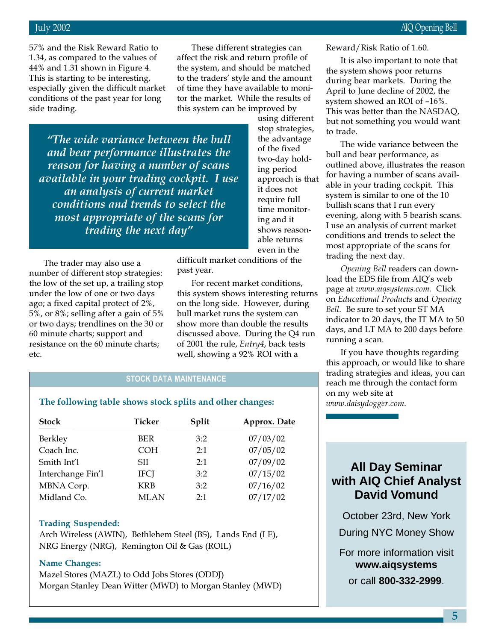57% and the Risk Reward Ratio to 1.34, as compared to the values of 44% and 1.31 shown in Figure 4. This is starting to be interesting, especially given the difficult market conditions of the past year for long side trading.

These different strategies can affect the risk and return profile of the system, and should be matched to the traders' style and the amount of time they have available to monitor the market. While the results of this system can be improved by

"The wide variance between the bull and bear performance illustrates the reason for having a number of scans available in your trading cockpit. I use an analysis of current market conditions and trends to select the most appropriate of the scans for trading the next day"

The trader may also use a number of different stop strategies: the low of the set up, a trailing stop under the low of one or two days ago; a fixed capital protect of 2%, 5%, or 8%; selling after a gain of 5% or two days; trendlines on the 30 or 60 minute charts; support and resistance on the 60 minute charts; etc.

using different stop strategies, the advantage of the fixed two-day holding period approach is that it does not require full time monitoring and it shows reasonable returns even in the

difficult market conditions of the past year.

For recent market conditions, this system shows interesting returns on the long side. However, during bull market runs the system can show more than double the results discussed above. During the Q4 run of 2001 the rule, Entry4, back tests well, showing a 92% ROI with a

#### STOCK DATA MAINTENANCE

#### The following table shows stock splits and other changes:

| <b>Stock</b>      | Ticker      | Split | Approx. Date |
|-------------------|-------------|-------|--------------|
| Berkley           | <b>BER</b>  | 3:2   | 07/03/02     |
| Coach Inc.        | <b>COH</b>  | 2:1   | 07/05/02     |
| Smith Int'l       | SH.         | 2:1   | 07/09/02     |
| Interchange Fin'l | <b>IFCJ</b> | 3:2   | 07/15/02     |
| MBNA Corp.        | <b>KRB</b>  | 3:2   | 07/16/02     |
| Midland Co.       | <b>MLAN</b> | 2.1   | 07/17/02     |

#### Trading Suspended:

Arch Wireless (AWIN), Bethlehem Steel (BS), Lands End (LE), NRG Energy (NRG), Remington Oil & Gas (ROIL)

#### Name Changes:

Mazel Stores (MAZL) to Odd Jobs Stores (ODDJ) Morgan Stanley Dean Witter (MWD) to Morgan Stanley (MWD) Reward/Risk Ratio of 1.60.

It is also important to note that the system shows poor returns during bear markets. During the April to June decline of 2002, the system showed an ROI of –16%. This was better than the NASDAQ, but not something you would want to trade.

The wide variance between the bull and bear performance, as outlined above, illustrates the reason for having a number of scans available in your trading cockpit. This system is similar to one of the 10 bullish scans that I run every evening, along with 5 bearish scans. I use an analysis of current market conditions and trends to select the most appropriate of the scans for trading the next day.

Opening Bell readers can download the EDS file from AIQ's web page at www.aiqsystems.com. Click on Educational Products and Opening Bell. Be sure to set your ST MA indicator to 20 days, the IT MA to 50 days, and LT MA to 200 days before running a scan.

If you have thoughts regarding this approach, or would like to share trading strategies and ideas, you can reach me through the contact form on my web site at www.daisydogger.com.

## **All Day Seminar with AIQ Chief Analyst David Vomund**

October 23rd, New York During NYC Money Show

For more information visit **www.aiqsystems** or call **800-332-2999**.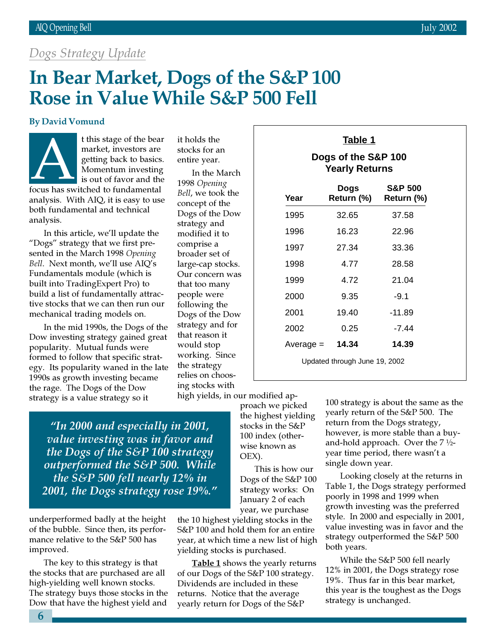## Dogs Strategy Update

## In Bear Market, Dogs of the S&P 100 Rose in Value While S&P 500 Fell

#### By David Vomund

t this stage of the bear market, investors are getting back to basics. Momentum investing is out of favor and the focus has switched to fundamental t this stage of the bear<br>
market, investors are<br>
getting back to basics.<br>
Momentum investing<br>
is out of favor and the<br>
focus has switched to fundamental<br>  $\frac{1998 \text{ Openi}}{1998 \text{ Openi}}$ 

analysis. With AIQ, it is easy to use both fundamental and technical analysis.

In this article, we'll update the "Dogs" strategy that we first presented in the March 1998 Opening Bell. Next month, we'll use AIQ's Fundamentals module (which is built into TradingExpert Pro) to build a list of fundamentally attractive stocks that we can then run our mechanical trading models on.

In the mid 1990s, the Dogs of the Dow investing strategy gained great popularity. Mutual funds were formed to follow that specific strategy. Its popularity waned in the late 1990s as growth investing became the rage. The Dogs of the Dow strategy is a value strategy so it

stocks for an entire year.

In the March 1998 Opening Bell, we took the concept of the Dogs of the Dow strategy and modified it to comprise a broader set of large-cap stocks. Our concern was that too many people were following the Dogs of the Dow strategy and for that reason it would stop working. Since the strategy relies on choosing stocks with

high yields, in our modified ap-

"In 2000 and especially in 2001, value investing was in favor and the Dogs of the S&P 100 strategy outperformed the S&P 500. While the S&P 500 fell nearly 12% in 2001, the Dogs strategy rose 19%."

underperformed badly at the height of the bubble. Since then, its performance relative to the S&P 500 has improved.

The key to this strategy is that the stocks that are purchased are all high-yielding well known stocks. The strategy buys those stocks in the Dow that have the highest yield and

the highest yielding stocks in the S&P 100 index (otherwise known as OEX).

proach we picked

This is how our Dogs of the S&P 100 strategy works: On January 2 of each year, we purchase

the 10 highest yielding stocks in the S&P 100 and hold them for an entire year, at which time a new list of high yielding stocks is purchased.

**Table 1** shows the yearly returns of our Dogs of the S&P 100 strategy. Dividends are included in these returns. Notice that the average yearly return for Dogs of the S&P

| . . | ٦. |  |  |
|-----|----|--|--|
|     |    |  |  |

**Dogs of the S&P 100 Yearly Returns**

| Year                          | Dogs<br>Return (%) | <b>S&amp;P 500</b><br>Return (%) |  |  |
|-------------------------------|--------------------|----------------------------------|--|--|
| 1995                          | 32.65              | 37.58                            |  |  |
| 1996                          | 16.23              | 22.96                            |  |  |
| 1997                          | 27.34              | 33.36                            |  |  |
| 1998                          | 4.77               | 28.58                            |  |  |
| 1999                          | 4 72               | 21.04                            |  |  |
| 2000                          | 9.35               | $-9.1$                           |  |  |
| 2001                          | 19.40              | $-11.89$                         |  |  |
| 2002                          | 0.25               | -7.44                            |  |  |
| $Average =$                   | 14.34              | 14.39                            |  |  |
| Updated through June 19, 2002 |                    |                                  |  |  |

100 strategy is about the same as the yearly return of the S&P 500. The return from the Dogs strategy, however, is more stable than a buyand-hold approach. Over the  $7\frac{1}{2}$ year time period, there wasn't a single down year.

Looking closely at the returns in Table 1, the Dogs strategy performed poorly in 1998 and 1999 when growth investing was the preferred style. In 2000 and especially in 2001, value investing was in favor and the strategy outperformed the S&P 500 both years.

While the S&P 500 fell nearly 12% in 2001, the Dogs strategy rose 19%. Thus far in this bear market, this year is the toughest as the Dogs strategy is unchanged.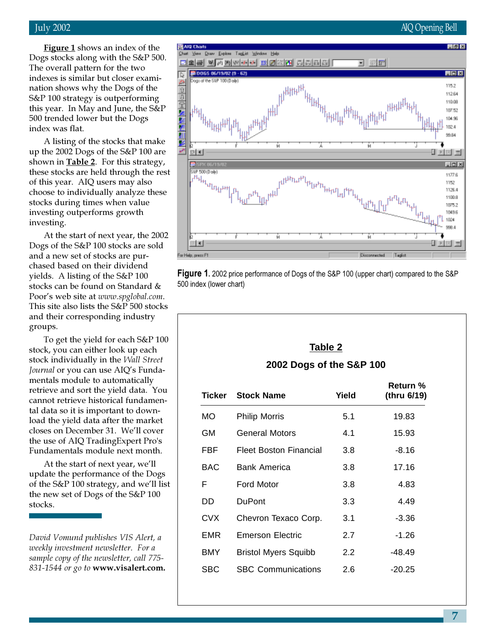**Figure 1** shows an index of the Dogs stocks along with the S&P 500. The overall pattern for the two indexes is similar but closer examination shows why the Dogs of the S&P 100 strategy is outperforming this year. In May and June, the S&P 500 trended lower but the Dogs index was flat.

A listing of the stocks that make up the 2002 Dogs of the S&P 100 are shown in  $Table 2$ . For this strategy, these stocks are held through the rest of this year. AIQ users may also choose to individually analyze these stocks during times when value investing outperforms growth investing.

At the start of next year, the 2002 Dogs of the S&P 100 stocks are sold and a new set of stocks are purchased based on their dividend yields. A listing of the S&P 100 stocks can be found on Standard & Poor's web site at www.spglobal.com. This site also lists the S&P 500 stocks and their corresponding industry groups.

To get the yield for each S&P 100 stock, you can either look up each stock individually in the Wall Street Journal or you can use AIQ's Fundamentals module to automatically retrieve and sort the yield data. You cannot retrieve historical fundamental data so it is important to download the yield data after the market closes on December 31. We'll cover the use of AIQ TradingExpert Pro's Fundamentals module next month.

At the start of next year, we'll update the performance of the Dogs of the S&P 100 strategy, and we'll list the new set of Dogs of the S&P 100 stocks.

David Vomund publishes VIS Alert, a weekly investment newsletter. For a sample copy of the newsletter, call 775- 831-1544 or go to www.visalert.com.

# a<sup>H</sup>H1HH<sub>a</sub> ™<sub>™™™</sub> u

יו<sub>ואו</sub>ייט<sup>יון</sup><br>ל<sup>ייט</sup>ווייט

⊒ 図面

Draw Explore TagList Window Help

00065 06/19/02 (9 - 62)

P

 $\frac{0}{0}$ 

 $ER$  4

田川

For Help, press F1

**BISPX 06/1** SLP 500 (Daily) որ հայտար<br>Մ<sup>11</sup> հեռական<br>Կառանանան

<u>elaksi wa wwww elektri alalaisi j</u>



**RUHTLIH** 

ù

### **Table 2 2002 Dogs of the S&P 100**

| Ticker     | <b>Stock Name</b>           | Yield | <b>Return</b> %<br>(thru 6/19) |
|------------|-----------------------------|-------|--------------------------------|
| MO.        | <b>Philip Morris</b>        | 5.1   | 19.83                          |
| GМ         | General Motors              | 4.1   | 15.93                          |
| FBF        | Fleet Boston Financial      | 3.8   | $-8.16$                        |
| BAC.       | <b>Bank America</b>         | 3.8   | 17.16                          |
| F          | Ford Motor                  | 3.8   | 4.83                           |
| DD         | <b>DuPont</b>               | 3.3   | 4.49                           |
| CVX        | Chevron Texaco Corp.        | 3.1   | $-3.36$                        |
| EMR        | Emerson Electric            | 2.7   | $-1.26$                        |
| <b>BMY</b> | <b>Bristol Myers Squibb</b> | 2.2   | $-48.49$                       |
| SBC        | <b>SBC Communications</b>   | 2.6   | $-20.25$                       |

#### July 2002 AIQ Opening Bell

 $-1012$ 

**LIOIX** 

115.2

112.64 110.08 10752 104.98 102.4 99.84

回网目

 $\Box$ 

1177.6

1152 1126.4 1100.8 1075.2 1049.6 1024 99R.4

0 ESI =

Tagist

Disconnected